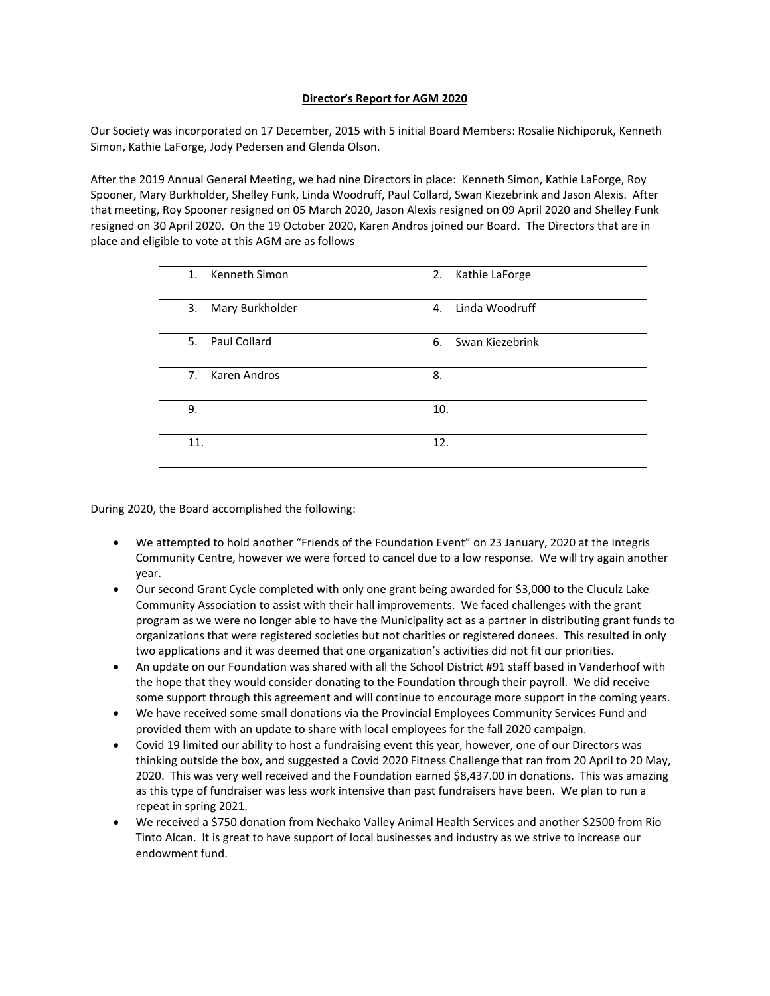## **Director's Report for AGM 2020**

Our Society was incorporated on 17 December, 2015 with 5 initial Board Members: Rosalie Nichiporuk, Kenneth Simon, Kathie LaForge, Jody Pedersen and Glenda Olson.

After the 2019 Annual General Meeting, we had nine Directors in place: Kenneth Simon, Kathie LaForge, Roy Spooner, Mary Burkholder, Shelley Funk, Linda Woodruff, Paul Collard, Swan Kiezebrink and Jason Alexis. After that meeting, Roy Spooner resigned on 05 March 2020, Jason Alexis resigned on 09 April 2020 and Shelley Funk resigned on 30 April 2020. On the 19 October 2020, Karen Andros joined our Board. The Directors that are in place and eligible to vote at this AGM are as follows

| 1. Kenneth Simon      | 2. Kathie LaForge  |
|-----------------------|--------------------|
| Mary Burkholder<br>3. | 4. Linda Woodruff  |
| 5. Paul Collard       | 6. Swan Kiezebrink |
| 7. Karen Andros       | 8.                 |
| 9.                    | 10.                |
| 11.                   | 12.                |

During 2020, the Board accomplished the following:

- We attempted to hold another "Friends of the Foundation Event" on 23 January, 2020 at the Integris Community Centre, however we were forced to cancel due to a low response. We will try again another year.
- Our second Grant Cycle completed with only one grant being awarded for \$3,000 to the Cluculz Lake Community Association to assist with their hall improvements. We faced challenges with the grant program as we were no longer able to have the Municipality act as a partner in distributing grant funds to organizations that were registered societies but not charities or registered donees. This resulted in only two applications and it was deemed that one organization's activities did not fit our priorities.
- An update on our Foundation was shared with all the School District #91 staff based in Vanderhoof with the hope that they would consider donating to the Foundation through their payroll. We did receive some support through this agreement and will continue to encourage more support in the coming years.
- We have received some small donations via the Provincial Employees Community Services Fund and provided them with an update to share with local employees for the fall 2020 campaign.
- Covid 19 limited our ability to host a fundraising event this year, however, one of our Directors was thinking outside the box, and suggested a Covid 2020 Fitness Challenge that ran from 20 April to 20 May, 2020. This was very well received and the Foundation earned \$8,437.00 in donations. This was amazing as this type of fundraiser was less work intensive than past fundraisers have been. We plan to run a repeat in spring 2021.
- We received a \$750 donation from Nechako Valley Animal Health Services and another \$2500 from Rio Tinto Alcan. It is great to have support of local businesses and industry as we strive to increase our endowment fund.